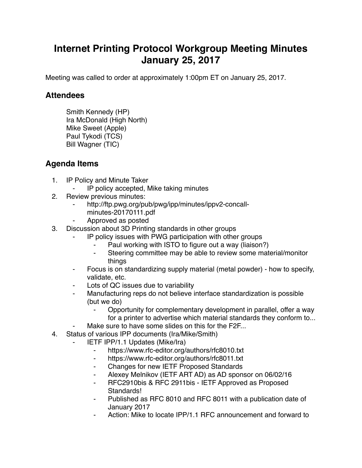## **Internet Printing Protocol Workgroup Meeting Minutes January 25, 2017**

Meeting was called to order at approximately 1:00pm ET on January 25, 2017.

## **Attendees**

Smith Kennedy (HP) Ira McDonald (High North) Mike Sweet (Apple) Paul Tykodi (TCS) Bill Wagner (TIC)

## **Agenda Items**

- 1. IP Policy and Minute Taker
	- ⁃ IP policy accepted, Mike taking minutes
- 2. Review previous minutes:
	- http://ftp.pwg.org/pub/pwg/ipp/minutes/ippv2-concallminutes-20170111.pdf
	- ⁃ Approved as posted
- 3. Discussion about 3D Printing standards in other groups
	- IP policy issues with PWG participation with other groups
		- Paul working with ISTO to figure out a way (liaison?)
		- Steering committee may be able to review some material/monitor things
	- ⁃ Focus is on standardizing supply material (metal powder) how to specify, validate, etc.
	- Lots of QC issues due to variability
	- Manufacturing reps do not believe interface standardization is possible (but we do)
		- Opportunity for complementary development in parallel, offer a way for a printer to advertise which material standards they conform to...
	- Make sure to have some slides on this for the F2F...
- 4. Status of various IPP documents (Ira/Mike/Smith)
	- **IETF IPP/1.1 Updates (Mike/Ira)** 
		- ⁃ https://www.rfc-editor.org/authors/rfc8010.txt
		- ⁃ https://www.rfc-editor.org/authors/rfc8011.txt
		- ⁃ Changes for new IETF Proposed Standards
		- Alexey Melnikov (IETF ART AD) as AD sponsor on 06/02/16
		- ⁃ RFC2910bis & RFC 2911bis IETF Approved as Proposed Standards!
		- Published as RFC 8010 and RFC 8011 with a publication date of January 2017
		- Action: Mike to locate IPP/1.1 RFC announcement and forward to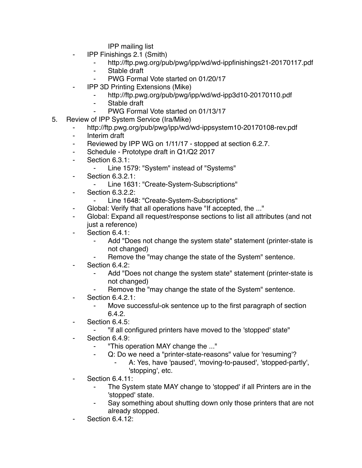IPP mailing list

- ⁃ IPP Finishings 2.1 (Smith)
	- ⁃ http://ftp.pwg.org/pub/pwg/ipp/wd/wd-ippfinishings21-20170117.pdf
	- ⁃ Stable draft
	- PWG Formal Vote started on 01/20/17
- **IPP 3D Printing Extensions (Mike)** 
	- http://ftp.pwg.org/pub/pwg/ipp/wd/wd-ipp3d10-20170110.pdf
	- ⁃ Stable draft
	- PWG Formal Vote started on 01/13/17
- 5. Review of IPP System Service (Ira/Mike)
	- http://ftp.pwg.org/pub/pwg/ipp/wd/wd-ippsystem10-20170108-rev.pdf
	- ⁃ Interim draft
	- Reviewed by IPP WG on  $1/11/17$  stopped at section 6.2.7.
	- ⁃ Schedule Prototype draft in Q1/Q2 2017
	- ⁃ Section 6.3.1:
		- Line 1579: "System" instead of "Systems"
	- ⁃ Section 6.3.2.1:
		- ⁃ Line 1631: "Create-System-Subscriptions"
	- ⁃ Section 6.3.2.2:
		- Line 1648: "Create-System-Subscriptions"
	- Global: Verify that all operations have "If accepted, the ..."
	- ⁃ Global: Expand all request/response sections to list all attributes (and not just a reference)
	- ⁃ Section 6.4.1:
		- Add "Does not change the system state" statement (printer-state is not changed)
		- Remove the "may change the state of the System" sentence.
	- Section 6.4.2:
		- Add "Does not change the system state" statement (printer-state is not changed)
		- Remove the "may change the state of the System" sentence.
	- **Section 6.4.2.1:** 
		- Move successful-ok sentence up to the first paragraph of section 6.4.2.
	- ⁃ Section 6.4.5:
		- ⁃ "if all configured printers have moved to the 'stopped' state"
	- Section 6.4.9:
		- ⁃ "This operation MAY change the ..."
		- Q: Do we need a "printer-state-reasons" value for 'resuming'?
			- A: Yes, have 'paused', 'moving-to-paused', 'stopped-partly', 'stopping', etc.
	- **Section 6.4.11:** 
		- The System state MAY change to 'stopped' if all Printers are in the 'stopped' state.
		- Say something about shutting down only those printers that are not already stopped.
	- **Section 6.4.12:**